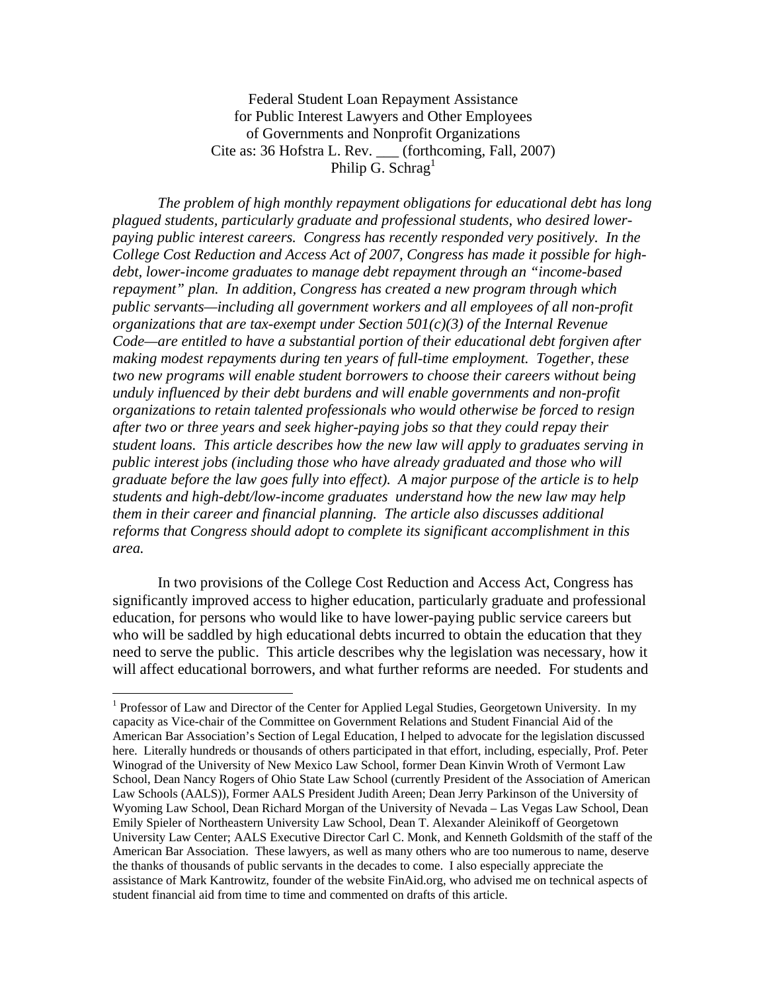Federal Student Loan Repayment Assistance for Public Interest Lawyers and Other Employees of Governments and Nonprofit Organizations Cite as: 36 Hofstra L. Rev. \_\_\_ (forthcoming, Fall, 2007) Philip G. Schrag<sup>1</sup>

 *The problem of high monthly repayment obligations for educational debt has long plagued students, particularly graduate and professional students, who desired lowerpaying public interest careers. Congress has recently responded very positively. In the College Cost Reduction and Access Act of 2007, Congress has made it possible for highdebt, lower-income graduates to manage debt repayment through an "income-based repayment" plan. In addition, Congress has created a new program through which public servants—including all government workers and all employees of all non-profit organizations that are tax-exempt under Section 501(c)(3) of the Internal Revenue Code—are entitled to have a substantial portion of their educational debt forgiven after making modest repayments during ten years of full-time employment. Together, these two new programs will enable student borrowers to choose their careers without being unduly influenced by their debt burdens and will enable governments and non-profit organizations to retain talented professionals who would otherwise be forced to resign after two or three years and seek higher-paying jobs so that they could repay their student loans. This article describes how the new law will apply to graduates serving in public interest jobs (including those who have already graduated and those who will graduate before the law goes fully into effect). A major purpose of the article is to help students and high-debt/low-income graduates understand how the new law may help them in their career and financial planning. The article also discusses additional reforms that Congress should adopt to complete its significant accomplishment in this area.* 

In two provisions of the College Cost Reduction and Access Act, Congress has significantly improved access to higher education, particularly graduate and professional education, for persons who would like to have lower-paying public service careers but who will be saddled by high educational debts incurred to obtain the education that they need to serve the public. This article describes why the legislation was necessary, how it will affect educational borrowers, and what further reforms are needed. For students and

<sup>&</sup>lt;sup>1</sup> Professor of Law and Director of the Center for Applied Legal Studies, Georgetown University. In my capacity as Vice-chair of the Committee on Government Relations and Student Financial Aid of the American Bar Association's Section of Legal Education, I helped to advocate for the legislation discussed here. Literally hundreds or thousands of others participated in that effort, including, especially, Prof. Peter Winograd of the University of New Mexico Law School, former Dean Kinvin Wroth of Vermont Law School, Dean Nancy Rogers of Ohio State Law School (currently President of the Association of American Law Schools (AALS)), Former AALS President Judith Areen; Dean Jerry Parkinson of the University of Wyoming Law School, Dean Richard Morgan of the University of Nevada – Las Vegas Law School, Dean Emily Spieler of Northeastern University Law School, Dean T. Alexander Aleinikoff of Georgetown University Law Center; AALS Executive Director Carl C. Monk, and Kenneth Goldsmith of the staff of the American Bar Association. These lawyers, as well as many others who are too numerous to name, deserve the thanks of thousands of public servants in the decades to come. I also especially appreciate the assistance of Mark Kantrowitz, founder of the website FinAid.org, who advised me on technical aspects of student financial aid from time to time and commented on drafts of this article.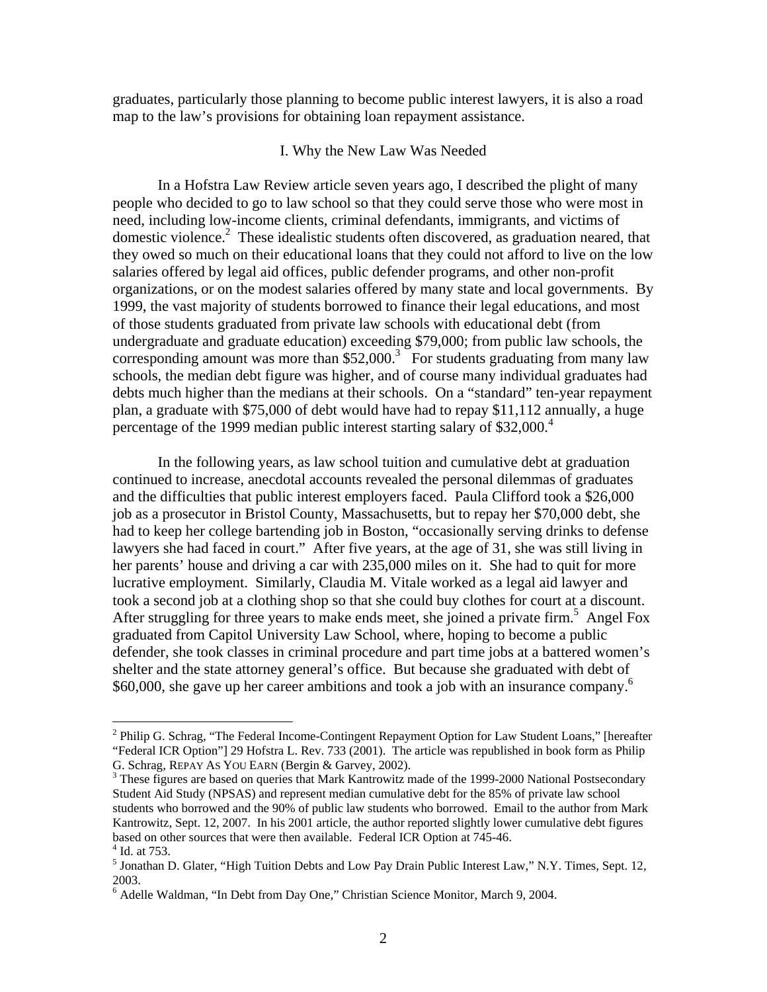graduates, particularly those planning to become public interest lawyers, it is also a road map to the law's provisions for obtaining loan repayment assistance.

#### I. Why the New Law Was Needed

 In a Hofstra Law Review article seven years ago, I described the plight of many people who decided to go to law school so that they could serve those who were most in need, including low-income clients, criminal defendants, immigrants, and victims of domestic violence.<sup>2</sup> These idealistic students often discovered, as graduation neared, that they owed so much on their educational loans that they could not afford to live on the low salaries offered by legal aid offices, public defender programs, and other non-profit organizations, or on the modest salaries offered by many state and local governments. By 1999, the vast majority of students borrowed to finance their legal educations, and most of those students graduated from private law schools with educational debt (from undergraduate and graduate education) exceeding \$79,000; from public law schools, the corresponding amount was more than  $$52,000$ .<sup>3</sup> For students graduating from many law schools, the median debt figure was higher, and of course many individual graduates had debts much higher than the medians at their schools. On a "standard" ten-year repayment plan, a graduate with \$75,000 of debt would have had to repay \$11,112 annually, a huge percentage of the 1999 median public interest starting salary of  $$32,000.<sup>4</sup>$ 

 In the following years, as law school tuition and cumulative debt at graduation continued to increase, anecdotal accounts revealed the personal dilemmas of graduates and the difficulties that public interest employers faced. Paula Clifford took a \$26,000 job as a prosecutor in Bristol County, Massachusetts, but to repay her \$70,000 debt, she had to keep her college bartending job in Boston, "occasionally serving drinks to defense lawyers she had faced in court." After five years, at the age of 31, she was still living in her parents' house and driving a car with 235,000 miles on it. She had to quit for more lucrative employment. Similarly, Claudia M. Vitale worked as a legal aid lawyer and took a second job at a clothing shop so that she could buy clothes for court at a discount. After struggling for three years to make ends meet, she joined a private firm.<sup>5</sup> Angel Fox graduated from Capitol University Law School, where, hoping to become a public defender, she took classes in criminal procedure and part time jobs at a battered women's shelter and the state attorney general's office. But because she graduated with debt of \$60,000, she gave up her career ambitions and took a job with an insurance company.<sup>6</sup>

1

<sup>&</sup>lt;sup>2</sup> Philip G. Schrag, "The Federal Income-Contingent Repayment Option for Law Student Loans," [hereafter "Federal ICR Option"] 29 Hofstra L. Rev. 733 (2001). The article was republished in book form as Philip G. Schrag, REPAY AS YOU EARN (Bergin & Garvey, 2002). 3

<sup>&</sup>lt;sup>3</sup> These figures are based on queries that Mark Kantrowitz made of the 1999-2000 National Postsecondary Student Aid Study (NPSAS) and represent median cumulative debt for the 85% of private law school students who borrowed and the 90% of public law students who borrowed. Email to the author from Mark Kantrowitz, Sept. 12, 2007. In his 2001 article, the author reported slightly lower cumulative debt figures based on other sources that were then available. Federal ICR Option at 745-46. 4 Id. at 753.

<sup>&</sup>lt;sup>5</sup> Jonathan D. Glater, "High Tuition Debts and Low Pay Drain Public Interest Law," N.Y. Times, Sept. 12, 2003.

<sup>&</sup>lt;sup>6</sup> Adelle Waldman, "In Debt from Day One," Christian Science Monitor, March 9, 2004.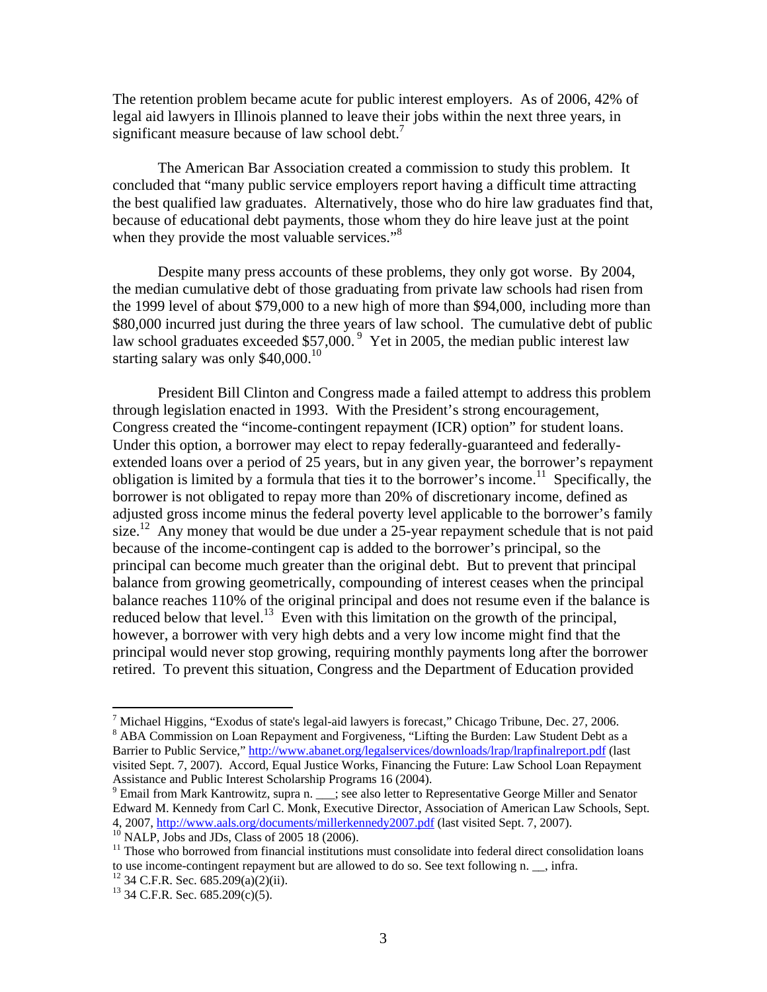The retention problem became acute for public interest employers. As of 2006, 42% of legal aid lawyers in Illinois planned to leave their jobs within the next three years, in significant measure because of law school debt.<sup>7</sup>

 The American Bar Association created a commission to study this problem. It concluded that "many public service employers report having a difficult time attracting the best qualified law graduates. Alternatively, those who do hire law graduates find that, because of educational debt payments, those whom they do hire leave just at the point when they provide the most valuable services."<sup>8</sup>

 Despite many press accounts of these problems, they only got worse. By 2004, the median cumulative debt of those graduating from private law schools had risen from the 1999 level of about \$79,000 to a new high of more than \$94,000, including more than \$80,000 incurred just during the three years of law school. The cumulative debt of public law school graduates exceeded  $$57,000.$ <sup>9</sup> Yet in 2005, the median public interest law starting salary was only \$40,000.<sup>10</sup>

 President Bill Clinton and Congress made a failed attempt to address this problem through legislation enacted in 1993. With the President's strong encouragement, Congress created the "income-contingent repayment (ICR) option" for student loans. Under this option, a borrower may elect to repay federally-guaranteed and federallyextended loans over a period of 25 years, but in any given year, the borrower's repayment obligation is limited by a formula that ties it to the borrower's income.<sup>11</sup> Specifically, the borrower is not obligated to repay more than 20% of discretionary income, defined as adjusted gross income minus the federal poverty level applicable to the borrower's family size.<sup>12</sup> Any money that would be due under a 25-year repayment schedule that is not paid because of the income-contingent cap is added to the borrower's principal, so the principal can become much greater than the original debt. But to prevent that principal balance from growing geometrically, compounding of interest ceases when the principal balance reaches 110% of the original principal and does not resume even if the balance is reduced below that level.<sup>13</sup> Even with this limitation on the growth of the principal, however, a borrower with very high debts and a very low income might find that the principal would never stop growing, requiring monthly payments long after the borrower retired. To prevent this situation, Congress and the Department of Education provided

1

<sup>&</sup>lt;sup>7</sup> Michael Higgins, "Exodus of state's legal-aid lawyers is forecast," Chicago Tribune, Dec. 27, 2006.<br><sup>8</sup> ABA Commission on Loan Banayment and Escaiyaness. "Lifting the Burdan: Law Student Debt es. ABA Commission on Loan Repayment and Forgiveness, "Lifting the Burden: Law Student Debt as a Barrier to Public Service," http://www.abanet.org/legalservices/downloads/lrap/lrapfinalreport.pdf (last visited Sept. 7, 2007). Accord, Equal Justice Works, Financing the Future: Law School Loan Repayment Assistance and Public Interest Scholarship Programs 16 (2004).

 $9$  Email from Mark Kantrowitz, supra n.  $\frac{1}{2}$ ; see also letter to Representative George Miller and Senator Edward M. Kennedy from Carl C. Monk, Executive Director, Association of American Law Schools, Sept. 4, 2007, http://www.aals.org/documents/millerkennedy2007.pdf (last visited Sept. 7, 2007).<br><sup>10</sup> NALP, Jobs and JDs, Class of 2005 18 (2006).

 $11$  Those who borrowed from financial institutions must consolidate into federal direct consolidation loans to use income-contingent repayment but are allowed to do so. See text following n. \_\_, infra.

 $12$  34 C.F.R. Sec. 685.209(a)(2)(ii).

 $13$  34 C.F.R. Sec. 685.209(c)(5).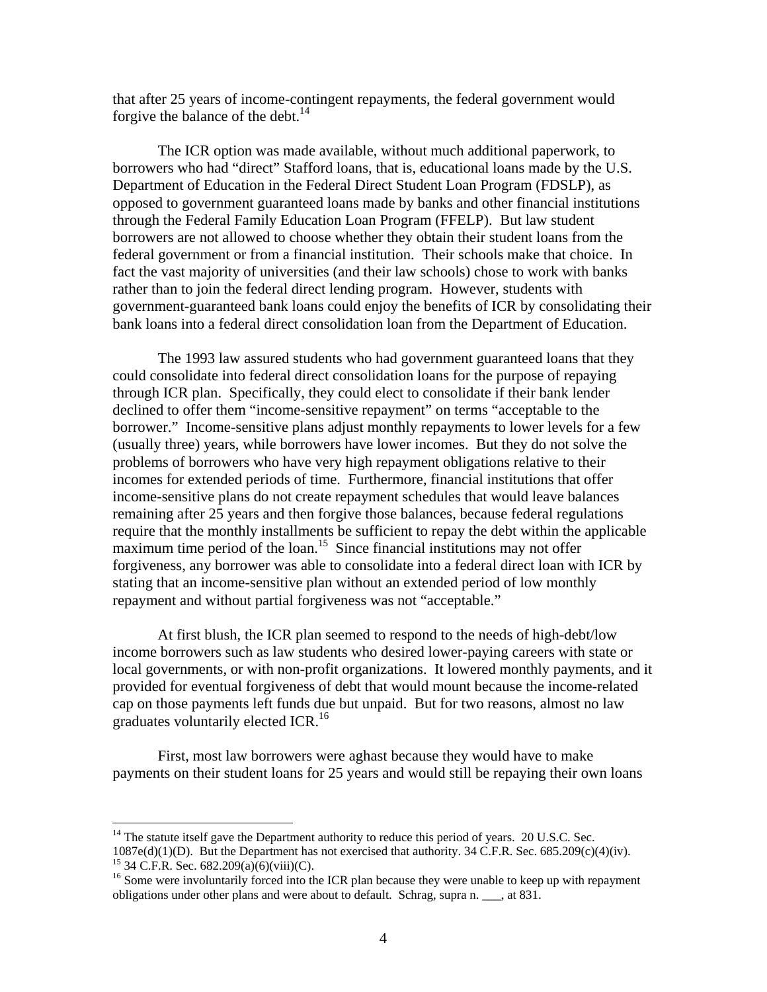that after 25 years of income-contingent repayments, the federal government would forgive the balance of the debt. $^{14}$ 

The ICR option was made available, without much additional paperwork, to borrowers who had "direct" Stafford loans, that is, educational loans made by the U.S. Department of Education in the Federal Direct Student Loan Program (FDSLP), as opposed to government guaranteed loans made by banks and other financial institutions through the Federal Family Education Loan Program (FFELP). But law student borrowers are not allowed to choose whether they obtain their student loans from the federal government or from a financial institution. Their schools make that choice. In fact the vast majority of universities (and their law schools) chose to work with banks rather than to join the federal direct lending program. However, students with government-guaranteed bank loans could enjoy the benefits of ICR by consolidating their bank loans into a federal direct consolidation loan from the Department of Education.

The 1993 law assured students who had government guaranteed loans that they could consolidate into federal direct consolidation loans for the purpose of repaying through ICR plan. Specifically, they could elect to consolidate if their bank lender declined to offer them "income-sensitive repayment" on terms "acceptable to the borrower." Income-sensitive plans adjust monthly repayments to lower levels for a few (usually three) years, while borrowers have lower incomes. But they do not solve the problems of borrowers who have very high repayment obligations relative to their incomes for extended periods of time. Furthermore, financial institutions that offer income-sensitive plans do not create repayment schedules that would leave balances remaining after 25 years and then forgive those balances, because federal regulations require that the monthly installments be sufficient to repay the debt within the applicable  $maximum$  time period of the loan.<sup>15</sup> Since financial institutions may not offer forgiveness, any borrower was able to consolidate into a federal direct loan with ICR by stating that an income-sensitive plan without an extended period of low monthly repayment and without partial forgiveness was not "acceptable."

 At first blush, the ICR plan seemed to respond to the needs of high-debt/low income borrowers such as law students who desired lower-paying careers with state or local governments, or with non-profit organizations. It lowered monthly payments, and it provided for eventual forgiveness of debt that would mount because the income-related cap on those payments left funds due but unpaid. But for two reasons, almost no law graduates voluntarily elected ICR.<sup>16</sup>

 First, most law borrowers were aghast because they would have to make payments on their student loans for 25 years and would still be repaying their own loans

 $14$  The statute itself gave the Department authority to reduce this period of years. 20 U.S.C. Sec.  $1087e(d)(1)(D)$ . But the Department has not exercised that authority. 34 C.F.R. Sec. 685.209(c)(4)(iv). <sup>15</sup> 34 C.F.R. Sec. 682.209(a)(6)(viii)(C).

<sup>&</sup>lt;sup>16</sup> Some were involuntarily forced into the ICR plan because they were unable to keep up with repayment obligations under other plans and were about to default. Schrag, supra n. \_\_\_, at 831.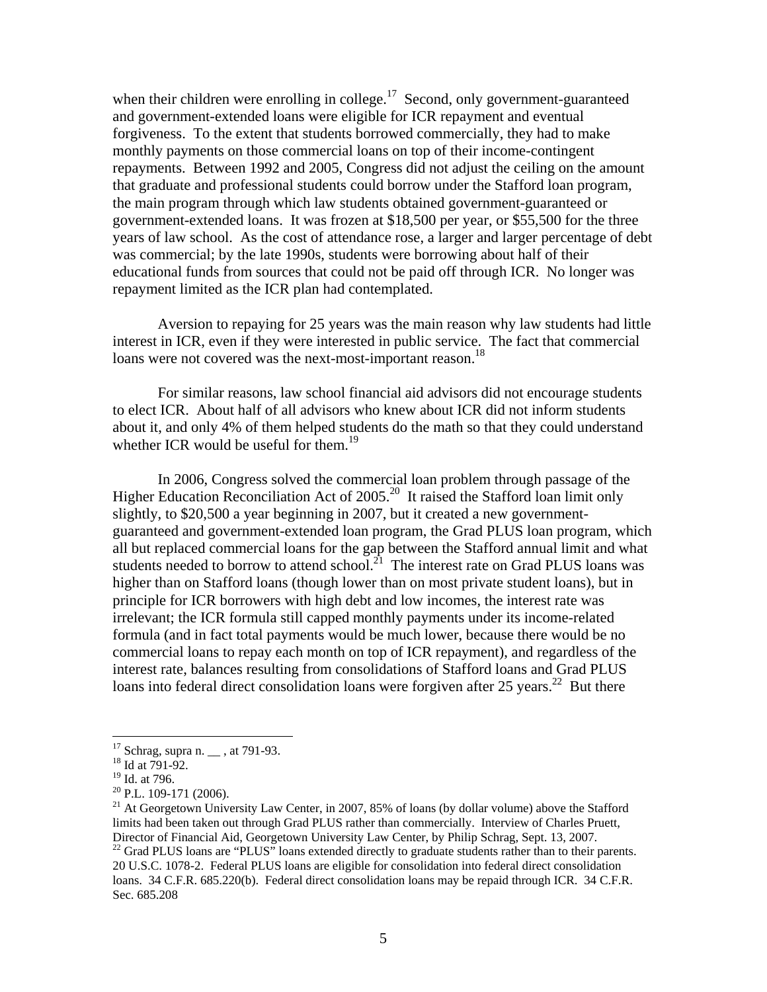when their children were enrolling in college.<sup>17</sup> Second, only government-guaranteed and government-extended loans were eligible for ICR repayment and eventual forgiveness. To the extent that students borrowed commercially, they had to make monthly payments on those commercial loans on top of their income-contingent repayments. Between 1992 and 2005, Congress did not adjust the ceiling on the amount that graduate and professional students could borrow under the Stafford loan program, the main program through which law students obtained government-guaranteed or government-extended loans. It was frozen at \$18,500 per year, or \$55,500 for the three years of law school. As the cost of attendance rose, a larger and larger percentage of debt was commercial; by the late 1990s, students were borrowing about half of their educational funds from sources that could not be paid off through ICR. No longer was repayment limited as the ICR plan had contemplated.

 Aversion to repaying for 25 years was the main reason why law students had little interest in ICR, even if they were interested in public service. The fact that commercial loans were not covered was the next-most-important reason.<sup>18</sup>

 For similar reasons, law school financial aid advisors did not encourage students to elect ICR. About half of all advisors who knew about ICR did not inform students about it, and only 4% of them helped students do the math so that they could understand whether ICR would be useful for them.<sup>19</sup>

 In 2006, Congress solved the commercial loan problem through passage of the Higher Education Reconciliation Act of 2005.<sup>20</sup> It raised the Stafford loan limit only slightly, to \$20,500 a year beginning in 2007, but it created a new governmentguaranteed and government-extended loan program, the Grad PLUS loan program, which all but replaced commercial loans for the gap between the Stafford annual limit and what students needed to borrow to attend school.<sup>21</sup> The interest rate on Grad PLUS loans was higher than on Stafford loans (though lower than on most private student loans), but in principle for ICR borrowers with high debt and low incomes, the interest rate was irrelevant; the ICR formula still capped monthly payments under its income-related formula (and in fact total payments would be much lower, because there would be no commercial loans to repay each month on top of ICR repayment), and regardless of the interest rate, balances resulting from consolidations of Stafford loans and Grad PLUS loans into federal direct consolidation loans were forgiven after 25 years.<sup>22</sup> But there

 $17$  Schrag, supra n.  $\_\_$ , at 791-93.

<sup>&</sup>lt;sup>18</sup> Id at 791-92.

<sup>&</sup>lt;sup>19</sup> Id. at 796.

 $20$  P.L. 109-171 (2006).

<sup>&</sup>lt;sup>21</sup> At Georgetown University Law Center, in 2007, 85% of loans (by dollar volume) above the Stafford limits had been taken out through Grad PLUS rather than commercially. Interview of Charles Pruett, Director of Financial Aid, Georgetown University Law Center, by Philip Schrag, Sept. 13, 2007.<br><sup>22</sup> Grad PLUS loans are "PLUS" loans extended directly to graduate students rather than to their parents. 20 U.S.C. 1078-2. Federal PLUS loans are eligible for consolidation into federal direct consolidation loans. 34 C.F.R. 685.220(b). Federal direct consolidation loans may be repaid through ICR. 34 C.F.R. Sec. 685.208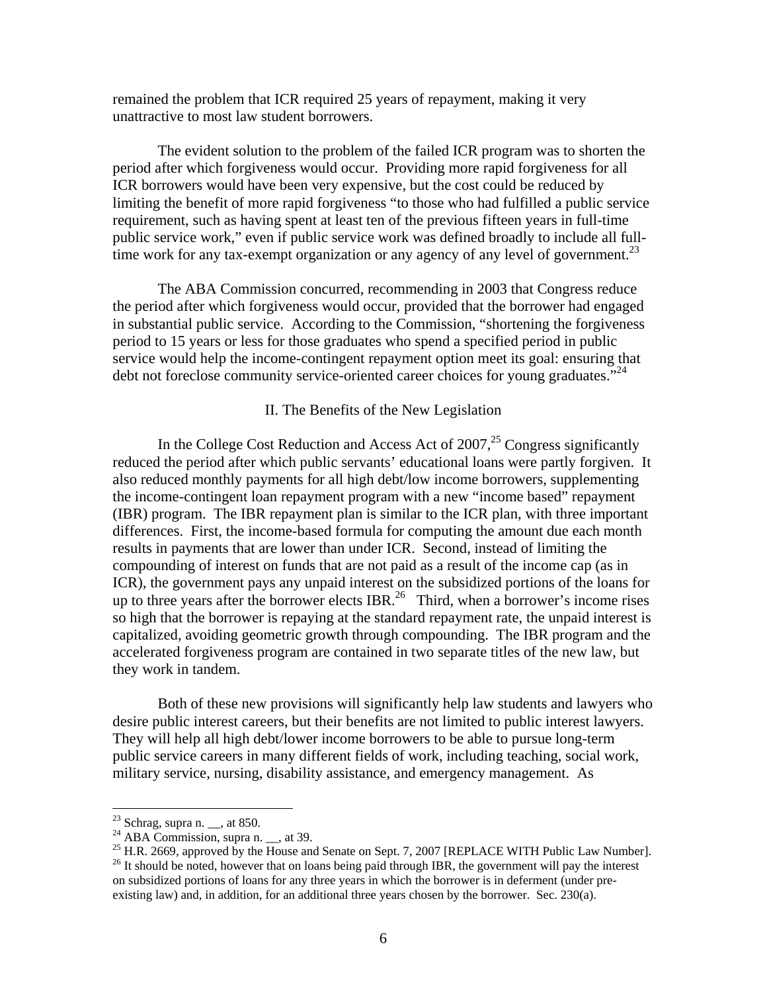remained the problem that ICR required 25 years of repayment, making it very unattractive to most law student borrowers.

 The evident solution to the problem of the failed ICR program was to shorten the period after which forgiveness would occur. Providing more rapid forgiveness for all ICR borrowers would have been very expensive, but the cost could be reduced by limiting the benefit of more rapid forgiveness "to those who had fulfilled a public service requirement, such as having spent at least ten of the previous fifteen years in full-time public service work," even if public service work was defined broadly to include all fulltime work for any tax-exempt organization or any agency of any level of government.<sup>23</sup>

 The ABA Commission concurred, recommending in 2003 that Congress reduce the period after which forgiveness would occur, provided that the borrower had engaged in substantial public service. According to the Commission, "shortening the forgiveness period to 15 years or less for those graduates who spend a specified period in public service would help the income-contingent repayment option meet its goal: ensuring that debt not foreclose community service-oriented career choices for young graduates. $^{24}$ 

#### II. The Benefits of the New Legislation

In the College Cost Reduction and Access Act of  $2007<sup>25</sup>$  Congress significantly reduced the period after which public servants' educational loans were partly forgiven. It also reduced monthly payments for all high debt/low income borrowers, supplementing the income-contingent loan repayment program with a new "income based" repayment (IBR) program. The IBR repayment plan is similar to the ICR plan, with three important differences. First, the income-based formula for computing the amount due each month results in payments that are lower than under ICR. Second, instead of limiting the compounding of interest on funds that are not paid as a result of the income cap (as in ICR), the government pays any unpaid interest on the subsidized portions of the loans for up to three years after the borrower elects IBR.<sup>26</sup> Third, when a borrower's income rises so high that the borrower is repaying at the standard repayment rate, the unpaid interest is capitalized, avoiding geometric growth through compounding. The IBR program and the accelerated forgiveness program are contained in two separate titles of the new law, but they work in tandem.

Both of these new provisions will significantly help law students and lawyers who desire public interest careers, but their benefits are not limited to public interest lawyers. They will help all high debt/lower income borrowers to be able to pursue long-term public service careers in many different fields of work, including teaching, social work, military service, nursing, disability assistance, and emergency management. As

 $2<sup>23</sup>$  Schrag, supra n.  $\_\_$ , at 850.

<sup>&</sup>lt;sup>24</sup> ABA Commission, supra n.  $\_\_$ , at 39.

<sup>&</sup>lt;sup>25</sup> H.R. 2669, approved by the House and Senate on Sept. 7, 2007 [REPLACE WITH Public Law Number].

<sup>&</sup>lt;sup>26</sup> It should be noted, however that on loans being paid through IBR, the government will pay the interest on subsidized portions of loans for any three years in which the borrower is in deferment (under preexisting law) and, in addition, for an additional three years chosen by the borrower. Sec. 230(a).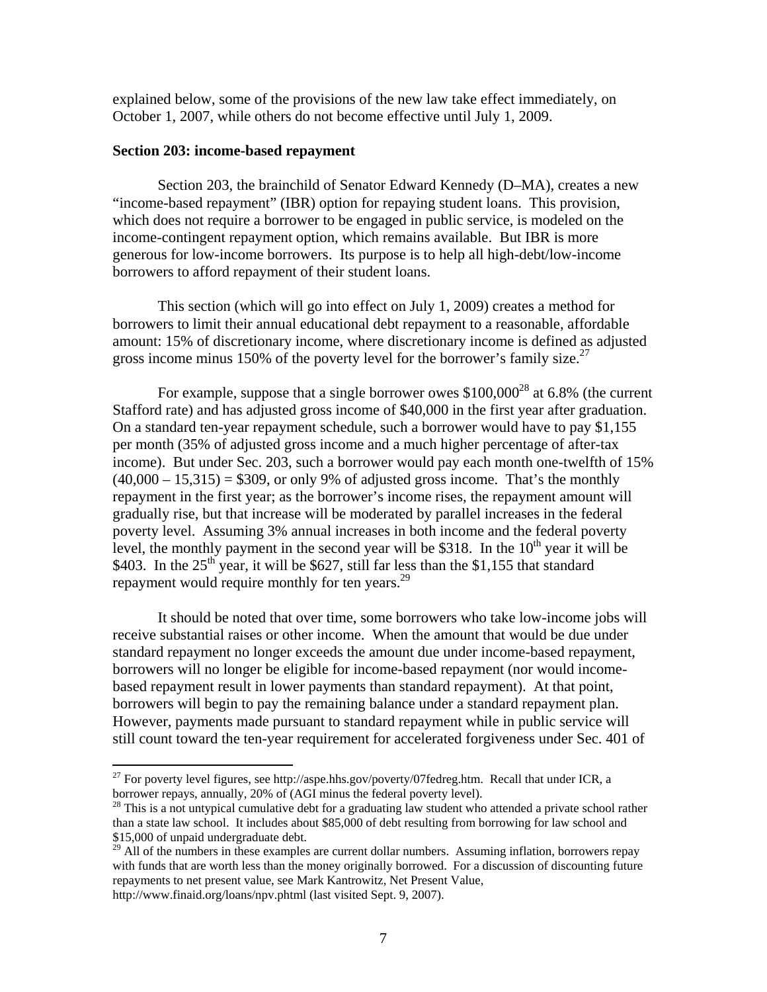explained below, some of the provisions of the new law take effect immediately, on October 1, 2007, while others do not become effective until July 1, 2009.

#### **Section 203: income-based repayment**

Section 203, the brainchild of Senator Edward Kennedy (D–MA), creates a new "income-based repayment" (IBR) option for repaying student loans. This provision, which does not require a borrower to be engaged in public service, is modeled on the income-contingent repayment option, which remains available. But IBR is more generous for low-income borrowers. Its purpose is to help all high-debt/low-income borrowers to afford repayment of their student loans.

This section (which will go into effect on July 1, 2009) creates a method for borrowers to limit their annual educational debt repayment to a reasonable, affordable amount: 15% of discretionary income, where discretionary income is defined as adjusted gross income minus 150% of the poverty level for the borrower's family size.<sup>27</sup>

For example, suppose that a single borrower owes  $$100,000^{28}$  at 6.8% (the current Stafford rate) and has adjusted gross income of \$40,000 in the first year after graduation. On a standard ten-year repayment schedule, such a borrower would have to pay \$1,155 per month (35% of adjusted gross income and a much higher percentage of after-tax income). But under Sec. 203, such a borrower would pay each month one-twelfth of 15%  $(40,000 - 15,315) = $309$ , or only 9% of adjusted gross income. That's the monthly repayment in the first year; as the borrower's income rises, the repayment amount will gradually rise, but that increase will be moderated by parallel increases in the federal poverty level. Assuming 3% annual increases in both income and the federal poverty level, the monthly payment in the second year will be \$318. In the  $10<sup>th</sup>$  year it will be \$403. In the  $25<sup>th</sup>$  year, it will be \$627, still far less than the \$1,155 that standard repayment would require monthly for ten years. $^{29}$ 

It should be noted that over time, some borrowers who take low-income jobs will receive substantial raises or other income. When the amount that would be due under standard repayment no longer exceeds the amount due under income-based repayment, borrowers will no longer be eligible for income-based repayment (nor would incomebased repayment result in lower payments than standard repayment). At that point, borrowers will begin to pay the remaining balance under a standard repayment plan. However, payments made pursuant to standard repayment while in public service will still count toward the ten-year requirement for accelerated forgiveness under Sec. 401 of

<sup>&</sup>lt;sup>27</sup> For poverty level figures, see http://aspe.hhs.gov/poverty/07fedreg.htm. Recall that under ICR, a borrower repays, annually, 20% of (AGI minus the federal poverty level).

 $^{28}$  This is a not untypical cumulative debt for a graduating law student who attended a private school rather than a state law school. It includes about \$85,000 of debt resulting from borrowing for law school and \$15,000 of unpaid undergraduate debt.

 $^{29}$  All of the numbers in these examples are current dollar numbers. Assuming inflation, borrowers repay with funds that are worth less than the money originally borrowed. For a discussion of discounting future repayments to net present value, see Mark Kantrowitz, Net Present Value,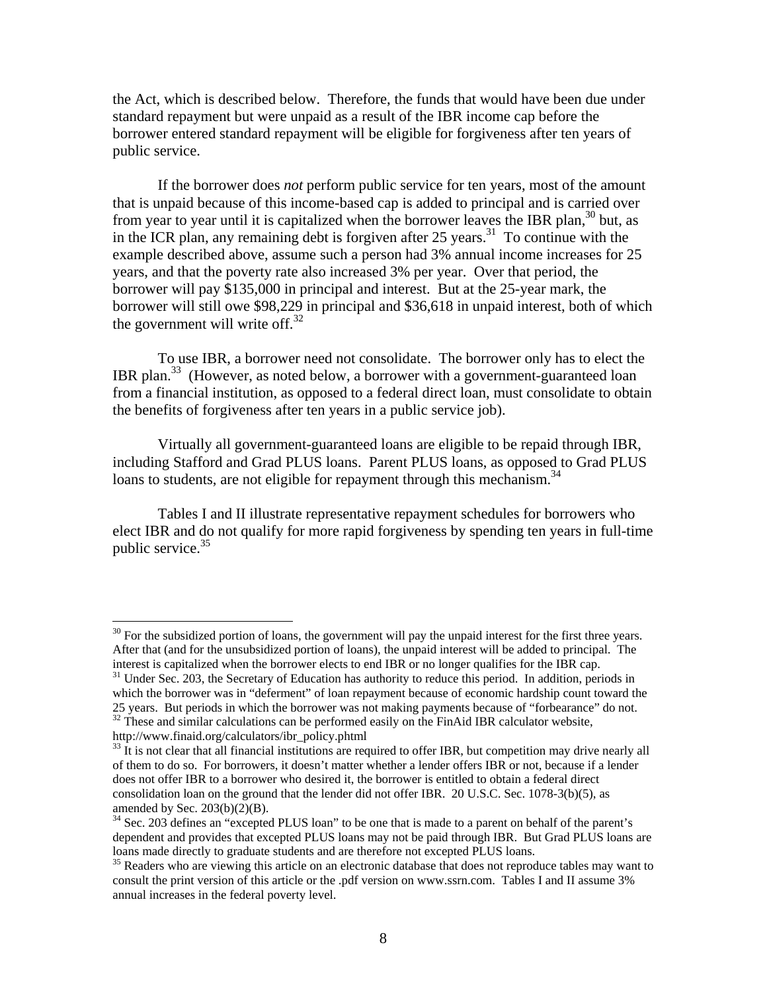the Act, which is described below. Therefore, the funds that would have been due under standard repayment but were unpaid as a result of the IBR income cap before the borrower entered standard repayment will be eligible for forgiveness after ten years of public service.

If the borrower does *not* perform public service for ten years, most of the amount that is unpaid because of this income-based cap is added to principal and is carried over from year to year until it is capitalized when the borrower leaves the IBR plan,<sup>30</sup> but, as in the ICR plan, any remaining debt is forgiven after 25 years.<sup>31</sup> To continue with the example described above, assume such a person had 3% annual income increases for 25 years, and that the poverty rate also increased 3% per year. Over that period, the borrower will pay \$135,000 in principal and interest. But at the 25-year mark, the borrower will still owe \$98,229 in principal and \$36,618 in unpaid interest, both of which the government will write off. $32$ 

 To use IBR, a borrower need not consolidate. The borrower only has to elect the IBR plan.<sup>33</sup> (However, as noted below, a borrower with a government-guaranteed loan from a financial institution, as opposed to a federal direct loan, must consolidate to obtain the benefits of forgiveness after ten years in a public service job).

 Virtually all government-guaranteed loans are eligible to be repaid through IBR, including Stafford and Grad PLUS loans. Parent PLUS loans, as opposed to Grad PLUS loans to students, are not eligible for repayment through this mechanism.<sup>34</sup>

 Tables I and II illustrate representative repayment schedules for borrowers who elect IBR and do not qualify for more rapid forgiveness by spending ten years in full-time public service. $35$ 

 $30$  For the subsidized portion of loans, the government will pay the unpaid interest for the first three years. After that (and for the unsubsidized portion of loans), the unpaid interest will be added to principal. The

interest is capitalized when the borrower elects to end IBR or no longer qualifies for the IBR cap.<br><sup>31</sup> Under Sec. 203, the Secretary of Education has authority to reduce this period. In addition, periods in which the borrower was in "deferment" of loan repayment because of economic hardship count toward the 25 years. But periods in which the borrower was not making payments because of "forbearance" do not. 32 These and similar calculations can be performed easily on the FinAid IBR calculator website,

http://www.finaid.org/calculators/ibr\_policy.phtml<br><sup>33</sup> It is not clear that all financial institutions are required to offer IBR, but competition may drive nearly all of them to do so. For borrowers, it doesn't matter whether a lender offers IBR or not, because if a lender does not offer IBR to a borrower who desired it, the borrower is entitled to obtain a federal direct consolidation loan on the ground that the lender did not offer IBR. 20 U.S.C. Sec. 1078-3(b)(5), as amended by Sec.  $203(b)(2)(B)$ .

<sup>&</sup>lt;sup>34</sup> Sec. 203 defines an "excepted PLUS loan" to be one that is made to a parent on behalf of the parent's dependent and provides that excepted PLUS loans may not be paid through IBR. But Grad PLUS loans are loans made directly to graduate students and are therefore not excepted PLUS loans.<br><sup>35</sup> Readers who are viewing this article on an electronic database that does not reproduce tables may want to

consult the print version of this article or the .pdf version on www.ssrn.com. Tables I and II assume 3% annual increases in the federal poverty level.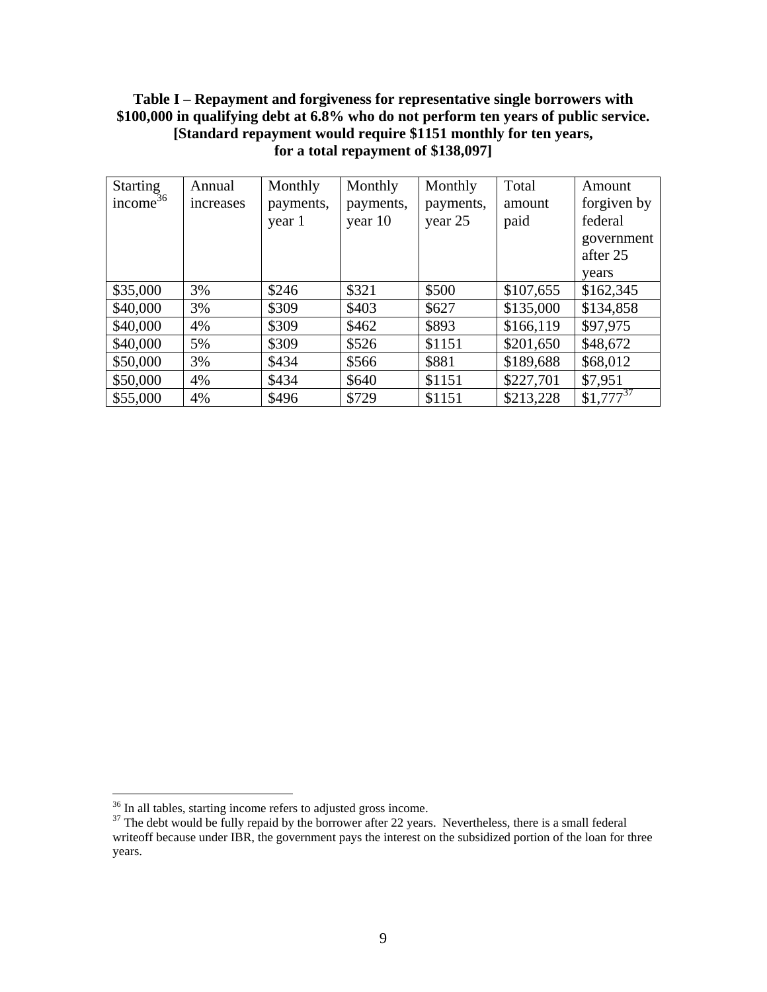# **Table I – Repayment and forgiveness for representative single borrowers with \$100,000 in qualifying debt at 6.8% who do not perform ten years of public service. [Standard repayment would require \$1151 monthly for ten years, for a total repayment of \$138,097]**

| <b>Starting</b>      | Annual    | Monthly   | Monthly   | Monthly   | Total     | Amount        |
|----------------------|-----------|-----------|-----------|-----------|-----------|---------------|
| income <sup>36</sup> | increases | payments, | payments, | payments, | amount    | forgiven by   |
|                      |           | year 1    | year 10   | year 25   | paid      | federal       |
|                      |           |           |           |           |           | government    |
|                      |           |           |           |           |           | after 25      |
|                      |           |           |           |           |           | vears         |
| \$35,000             | 3%        | \$246     | \$321     | \$500     | \$107,655 | \$162,345     |
| \$40,000             | 3%        | \$309     | \$403     | \$627     | \$135,000 | \$134,858     |
| \$40,000             | 4%        | \$309     | \$462     | \$893     | \$166,119 | \$97,975      |
| \$40,000             | 5%        | \$309     | \$526     | \$1151    | \$201,650 | \$48,672      |
| \$50,000             | 3%        | \$434     | \$566     | \$881     | \$189,688 | \$68,012      |
| \$50,000             | 4%        | \$434     | \$640     | \$1151    | \$227,701 | \$7,951       |
| \$55,000             | 4%        | \$496     | \$729     | \$1151    | \$213,228 | $$1,777^{37}$ |

 $36$  In all tables, starting income refers to adjusted gross income.

 $37$  The debt would be fully repaid by the borrower after 22 years. Nevertheless, there is a small federal writeoff because under IBR, the government pays the interest on the subsidized portion of the loan for three years.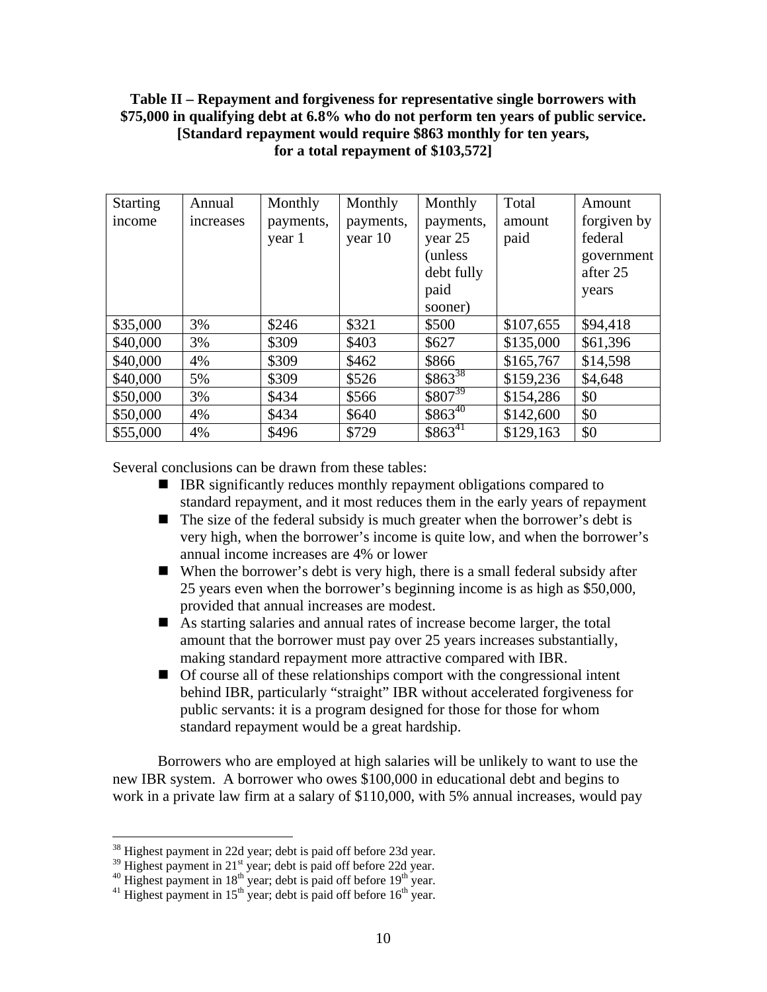## **Table II – Repayment and forgiveness for representative single borrowers with \$75,000 in qualifying debt at 6.8% who do not perform ten years of public service. [Standard repayment would require \$863 monthly for ten years, for a total repayment of \$103,572]**

| <b>Starting</b><br>income | Annual<br>increases | Monthly<br>payments,<br>year 1 | Monthly<br>payments,<br>year 10 | Monthly<br>payments,<br>year 25 | Total<br>amount<br>paid | Amount<br>forgiven by<br>federal |
|---------------------------|---------------------|--------------------------------|---------------------------------|---------------------------------|-------------------------|----------------------------------|
|                           |                     |                                |                                 | (unless)                        |                         | government                       |
|                           |                     |                                |                                 | debt fully                      |                         | after 25                         |
|                           |                     |                                |                                 | paid                            |                         | years                            |
|                           |                     |                                |                                 | sooner)                         |                         |                                  |
| \$35,000                  | 3%                  | \$246                          | \$321                           | \$500                           | \$107,655               | \$94,418                         |
| \$40,000                  | 3%                  | \$309                          | \$403                           | \$627                           | \$135,000               | \$61,396                         |
| \$40,000                  | 4%                  | \$309                          | \$462                           | \$866                           | \$165,767               | \$14,598                         |
| \$40,000                  | 5%                  | \$309                          | \$526                           | $$863^{38}$                     | \$159,236               | \$4,648                          |
| \$50,000                  | 3%                  | \$434                          | \$566                           | $$807^{39}$                     | \$154,286               | \$0                              |
| \$50,000                  | 4%                  | \$434                          | \$640                           | $$863^{40}$                     | \$142,600               | \$0                              |
| \$55,000                  | 4%                  | \$496                          | \$729                           | $$863^{41}$                     | \$129,163               | \$0                              |

Several conclusions can be drawn from these tables:

- IBR significantly reduces monthly repayment obligations compared to standard repayment, and it most reduces them in the early years of repayment
- $\blacksquare$  The size of the federal subsidy is much greater when the borrower's debt is very high, when the borrower's income is quite low, and when the borrower's annual income increases are 4% or lower
- When the borrower's debt is very high, there is a small federal subsidy after 25 years even when the borrower's beginning income is as high as \$50,000, provided that annual increases are modest.
- As starting salaries and annual rates of increase become larger, the total amount that the borrower must pay over 25 years increases substantially, making standard repayment more attractive compared with IBR.
- Of course all of these relationships comport with the congressional intent behind IBR, particularly "straight" IBR without accelerated forgiveness for public servants: it is a program designed for those for those for whom standard repayment would be a great hardship.

 Borrowers who are employed at high salaries will be unlikely to want to use the new IBR system. A borrower who owes \$100,000 in educational debt and begins to work in a private law firm at a salary of \$110,000, with 5% annual increases, would pay

 $38$  Highest payment in 22d year; debt is paid off before 23d year.

<sup>&</sup>lt;sup>39</sup> Highest payment in 22d year; debt is paid off before 22d year. <sup>40</sup> Highest payment in 18<sup>th</sup> year; debt is paid off before 19<sup>th</sup> year. <sup>41</sup> Highest payment in 15<sup>th</sup> year; debt is paid off before 16<sup>th</sup> year.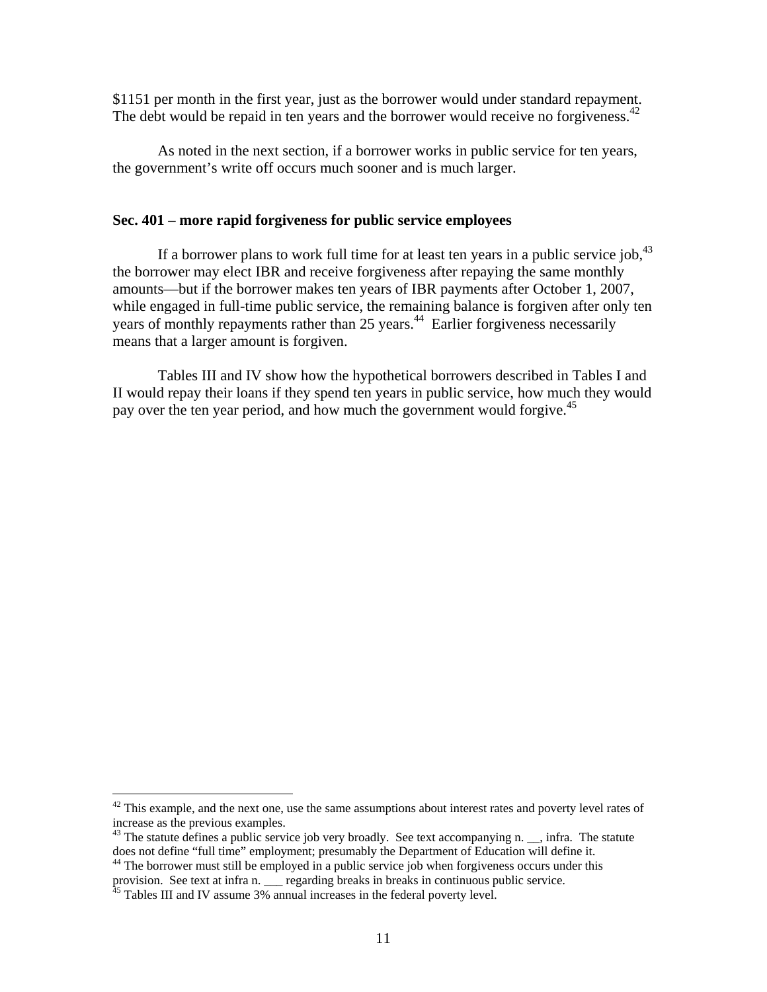\$1151 per month in the first year, just as the borrower would under standard repayment. The debt would be repaid in ten years and the borrower would receive no forgiveness.  $42$ 

 As noted in the next section, if a borrower works in public service for ten years, the government's write off occurs much sooner and is much larger.

## **Sec. 401 – more rapid forgiveness for public service employees**

If a borrower plans to work full time for at least ten years in a public service iob. $43$ the borrower may elect IBR and receive forgiveness after repaying the same monthly amounts—but if the borrower makes ten years of IBR payments after October 1, 2007, while engaged in full-time public service, the remaining balance is forgiven after only ten years of monthly repayments rather than 25 years.<sup>44</sup> Earlier forgiveness necessarily means that a larger amount is forgiven.

 Tables III and IV show how the hypothetical borrowers described in Tables I and II would repay their loans if they spend ten years in public service, how much they would pay over the ten year period, and how much the government would forgive.<sup>45</sup>

 $42$  This example, and the next one, use the same assumptions about interest rates and poverty level rates of increase as the previous examples.

<sup>&</sup>lt;sup>43</sup> The statute defines a public service job very broadly. See text accompanying n. \_\_, infra. The statute does not define "full time" employment; presumably the Department of Education will define it.

 $44$  The borrower must still be employed in a public service job when forgiveness occurs under this provision. See text at infra n. \_\_\_ regarding breaks in breaks in continuous public service.

 $45$  Tables III and IV assume 3% annual increases in the federal poverty level.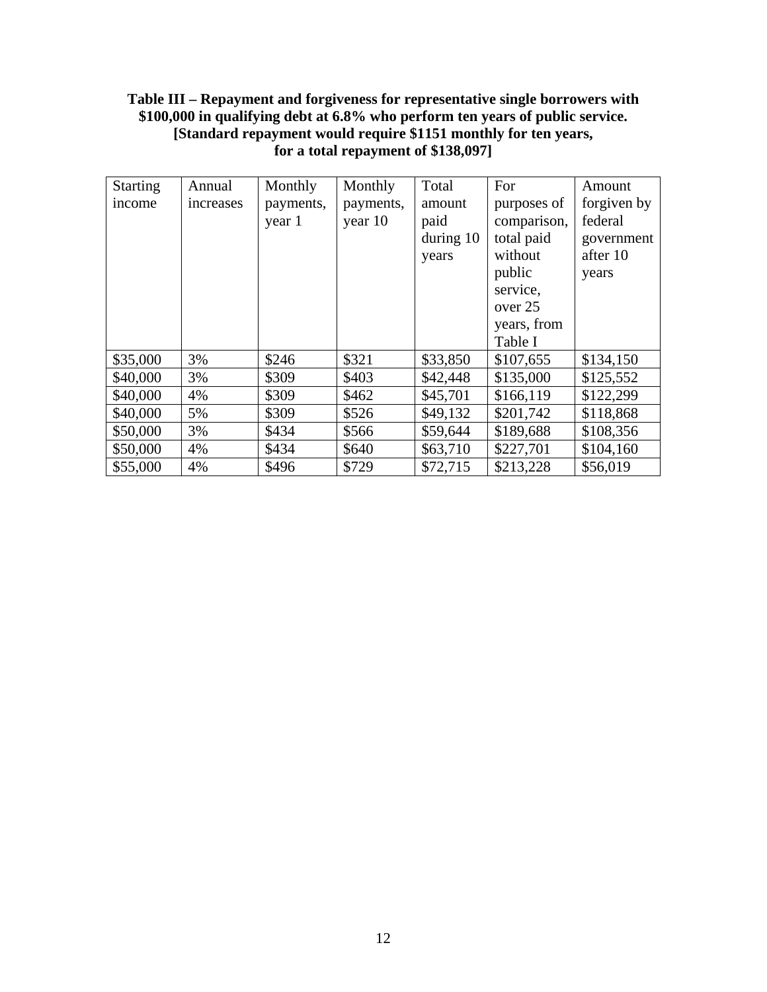# **Table III – Repayment and forgiveness for representative single borrowers with \$100,000 in qualifying debt at 6.8% who perform ten years of public service. [Standard repayment would require \$1151 monthly for ten years, for a total repayment of \$138,097]**

| <b>Starting</b> | Annual    | Monthly   | Monthly   | Total       | For         | Amount      |
|-----------------|-----------|-----------|-----------|-------------|-------------|-------------|
| income          | increases | payments, | payments, | amount      | purposes of | forgiven by |
|                 |           | year 1    | year 10   | paid        | comparison, | federal     |
|                 |           |           |           | during $10$ | total paid  | government  |
|                 |           |           |           | years       | without     | after 10    |
|                 |           |           |           |             | public      | years       |
|                 |           |           |           |             | service,    |             |
|                 |           |           |           |             | over 25     |             |
|                 |           |           |           |             | years, from |             |
|                 |           |           |           |             | Table I     |             |
| \$35,000        | 3%        | \$246     | \$321     | \$33,850    | \$107,655   | \$134,150   |
| \$40,000        | 3%        | \$309     | \$403     | \$42,448    | \$135,000   | \$125,552   |
| \$40,000        | 4%        | \$309     | \$462     | \$45,701    | \$166,119   | \$122,299   |
| \$40,000        | 5%        | \$309     | \$526     | \$49,132    | \$201,742   | \$118,868   |
| \$50,000        | 3%        | \$434     | \$566     | \$59,644    | \$189,688   | \$108,356   |
| \$50,000        | 4%        | \$434     | \$640     | \$63,710    | \$227,701   | \$104,160   |
| \$55,000        | 4%        | \$496     | \$729     | \$72,715    | \$213,228   | \$56,019    |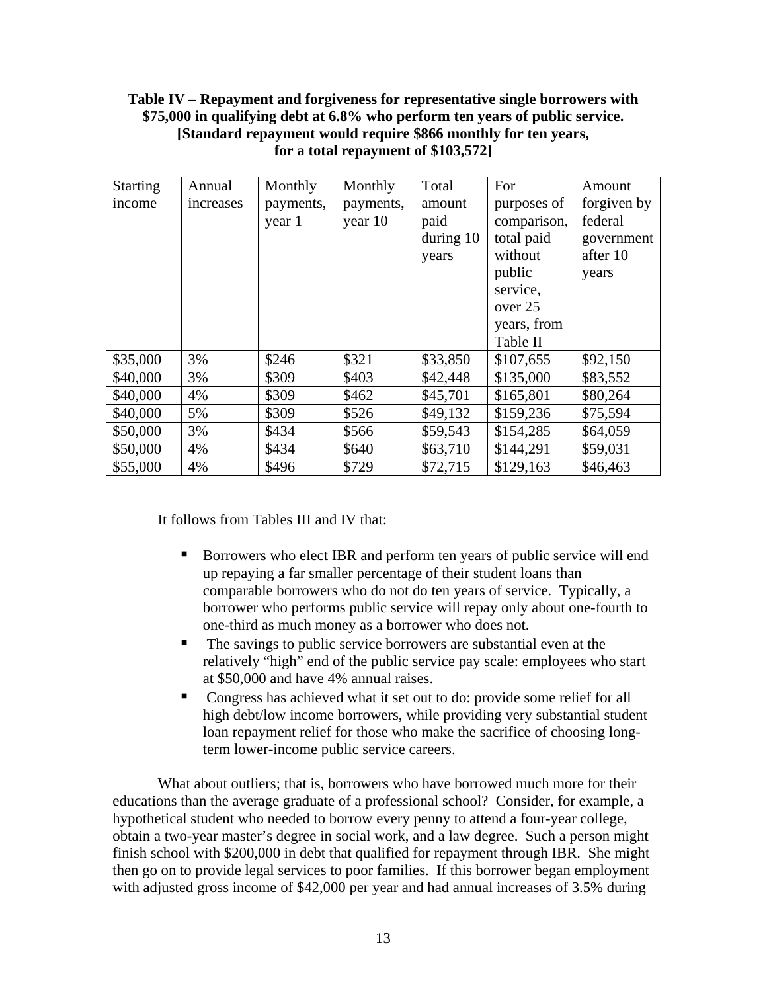# **Table IV – Repayment and forgiveness for representative single borrowers with \$75,000 in qualifying debt at 6.8% who perform ten years of public service. [Standard repayment would require \$866 monthly for ten years, for a total repayment of \$103,572]**

| <b>Starting</b> | Annual    | Monthly   | Monthly   | Total       | For         | Amount      |
|-----------------|-----------|-----------|-----------|-------------|-------------|-------------|
| income          | increases | payments, | payments, | amount      | purposes of | forgiven by |
|                 |           | year 1    | year 10   | paid        | comparison, | federal     |
|                 |           |           |           | during $10$ | total paid  | government  |
|                 |           |           |           | years       | without     | after 10    |
|                 |           |           |           |             | public      | years       |
|                 |           |           |           |             | service,    |             |
|                 |           |           |           |             | over 25     |             |
|                 |           |           |           |             | years, from |             |
|                 |           |           |           |             | Table II    |             |
| \$35,000        | 3%        | \$246     | \$321     | \$33,850    | \$107,655   | \$92,150    |
| \$40,000        | 3%        | \$309     | \$403     | \$42,448    | \$135,000   | \$83,552    |
| \$40,000        | 4%        | \$309     | \$462     | \$45,701    | \$165,801   | \$80,264    |
| \$40,000        | 5%        | \$309     | \$526     | \$49,132    | \$159,236   | \$75,594    |
| \$50,000        | 3%        | \$434     | \$566     | \$59,543    | \$154,285   | \$64,059    |
| \$50,000        | 4%        | \$434     | \$640     | \$63,710    | \$144,291   | \$59,031    |
| \$55,000        | 4%        | \$496     | \$729     | \$72,715    | \$129,163   | \$46,463    |

It follows from Tables III and IV that:

- Borrowers who elect IBR and perform ten years of public service will end up repaying a far smaller percentage of their student loans than comparable borrowers who do not do ten years of service. Typically, a borrower who performs public service will repay only about one-fourth to one-third as much money as a borrower who does not.
- The savings to public service borrowers are substantial even at the relatively "high" end of the public service pay scale: employees who start at \$50,000 and have 4% annual raises.
- Congress has achieved what it set out to do: provide some relief for all high debt/low income borrowers, while providing very substantial student loan repayment relief for those who make the sacrifice of choosing longterm lower-income public service careers.

What about outliers; that is, borrowers who have borrowed much more for their educations than the average graduate of a professional school? Consider, for example, a hypothetical student who needed to borrow every penny to attend a four-year college, obtain a two-year master's degree in social work, and a law degree. Such a person might finish school with \$200,000 in debt that qualified for repayment through IBR. She might then go on to provide legal services to poor families. If this borrower began employment with adjusted gross income of \$42,000 per year and had annual increases of 3.5% during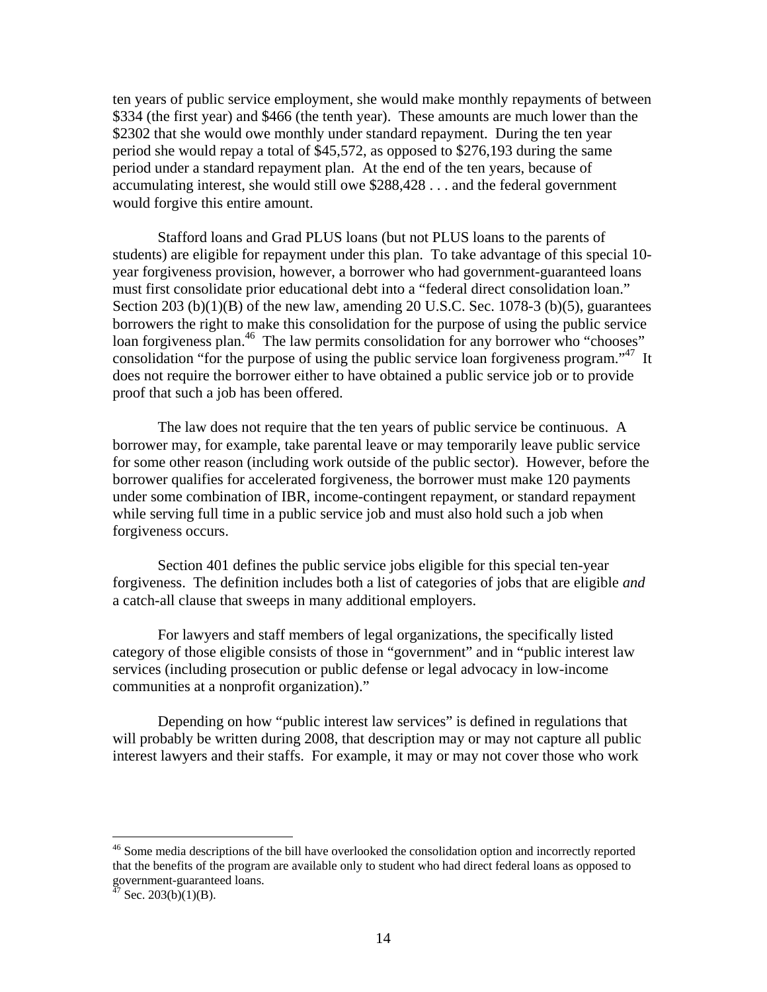ten years of public service employment, she would make monthly repayments of between \$334 (the first year) and \$466 (the tenth year). These amounts are much lower than the \$2302 that she would owe monthly under standard repayment. During the ten year period she would repay a total of \$45,572, as opposed to \$276,193 during the same period under a standard repayment plan. At the end of the ten years, because of accumulating interest, she would still owe \$288,428 . . . and the federal government would forgive this entire amount.

Stafford loans and Grad PLUS loans (but not PLUS loans to the parents of students) are eligible for repayment under this plan. To take advantage of this special 10 year forgiveness provision, however, a borrower who had government-guaranteed loans must first consolidate prior educational debt into a "federal direct consolidation loan." Section 203 (b) $(1)(B)$  of the new law, amending 20 U.S.C. Sec. 1078-3 (b) $(5)$ , guarantees borrowers the right to make this consolidation for the purpose of using the public service loan forgiveness plan.<sup>46</sup> The law permits consolidation for any borrower who "chooses" consolidation "for the purpose of using the public service loan forgiveness program."<sup>47</sup> It does not require the borrower either to have obtained a public service job or to provide proof that such a job has been offered.

The law does not require that the ten years of public service be continuous. A borrower may, for example, take parental leave or may temporarily leave public service for some other reason (including work outside of the public sector). However, before the borrower qualifies for accelerated forgiveness, the borrower must make 120 payments under some combination of IBR, income-contingent repayment, or standard repayment while serving full time in a public service job and must also hold such a job when forgiveness occurs.

Section 401 defines the public service jobs eligible for this special ten-year forgiveness. The definition includes both a list of categories of jobs that are eligible *and*  a catch-all clause that sweeps in many additional employers.

For lawyers and staff members of legal organizations, the specifically listed category of those eligible consists of those in "government" and in "public interest law services (including prosecution or public defense or legal advocacy in low-income communities at a nonprofit organization)."

Depending on how "public interest law services" is defined in regulations that will probably be written during 2008, that description may or may not capture all public interest lawyers and their staffs. For example, it may or may not cover those who work

<u>.</u>

<sup>&</sup>lt;sup>46</sup> Some media descriptions of the bill have overlooked the consolidation option and incorrectly reported that the benefits of the program are available only to student who had direct federal loans as opposed to government-guaranteed loans.

 $47$  Sec. 203(b)(1)(B).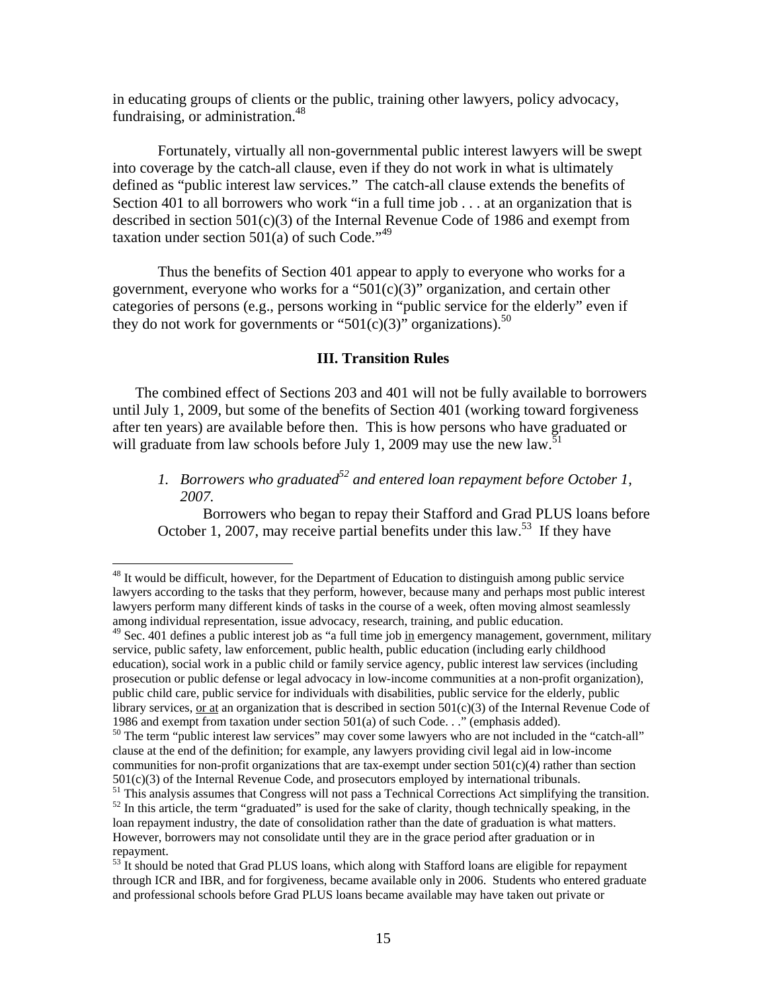in educating groups of clients or the public, training other lawyers, policy advocacy, fundraising, or administration.<sup>48</sup>

Fortunately, virtually all non-governmental public interest lawyers will be swept into coverage by the catch-all clause, even if they do not work in what is ultimately defined as "public interest law services." The catch-all clause extends the benefits of Section 401 to all borrowers who work "in a full time job  $\dots$  at an organization that is described in section 501(c)(3) of the Internal Revenue Code of 1986 and exempt from taxation under section  $501(a)$  of such Code."<sup>49</sup>

Thus the benefits of Section 401 appear to apply to everyone who works for a government, everyone who works for a " $501(c)(3)$ " organization, and certain other categories of persons (e.g., persons working in "public service for the elderly" even if they do not work for governments or "501(c)(3)" organizations).<sup>50</sup>

#### **III. Transition Rules**

The combined effect of Sections 203 and 401 will not be fully available to borrowers until July 1, 2009, but some of the benefits of Section 401 (working toward forgiveness after ten years) are available before then. This is how persons who have graduated or will graduate from law schools before July 1, 2009 may use the new law.<sup>51</sup>

1. Borrowers who graduated<sup>52</sup> and entered loan repayment before October 1, *2007.*

 Borrowers who began to repay their Stafford and Grad PLUS loans before October 1, 2007, may receive partial benefits under this law.<sup>53</sup> If they have

<sup>&</sup>lt;sup>48</sup> It would be difficult, however, for the Department of Education to distinguish among public service lawyers according to the tasks that they perform, however, because many and perhaps most public interest lawyers perform many different kinds of tasks in the course of a week, often moving almost seamlessly among individual representation, issue advocacy, research, training, and public education.

 $49$  Sec. 401 defines a public interest job as "a full time job in emergency management, government, military service, public safety, law enforcement, public health, public education (including early childhood education), social work in a public child or family service agency, public interest law services (including prosecution or public defense or legal advocacy in low-income communities at a non-profit organization), public child care, public service for individuals with disabilities, public service for the elderly, public library services, or at an organization that is described in section 501(c)(3) of the Internal Revenue Code of 1986 and exempt from taxation under section 501(a) of such Code. . ." (emphasis added).

<sup>&</sup>lt;sup>50</sup> The term "public interest law services" may cover some lawyers who are not included in the "catch-all" clause at the end of the definition; for example, any lawyers providing civil legal aid in low-income communities for non-profit organizations that are tax-exempt under section  $501(c)(4)$  rather than section 501(c)(3) of the Internal Revenue Code, and prosecutors employed by international tribunals.

 $51$  This analysis assumes that Congress will not pass a Technical Corrections Act simplifying the transition.  $52$  In this article, the term "graduated" is used for the sake of clarity, though technically speaking, in th loan repayment industry, the date of consolidation rather than the date of graduation is what matters. However, borrowers may not consolidate until they are in the grace period after graduation or in repayment.

<sup>&</sup>lt;sup>53</sup> It should be noted that Grad PLUS loans, which along with Stafford loans are eligible for repayment through ICR and IBR, and for forgiveness, became available only in 2006. Students who entered graduate and professional schools before Grad PLUS loans became available may have taken out private or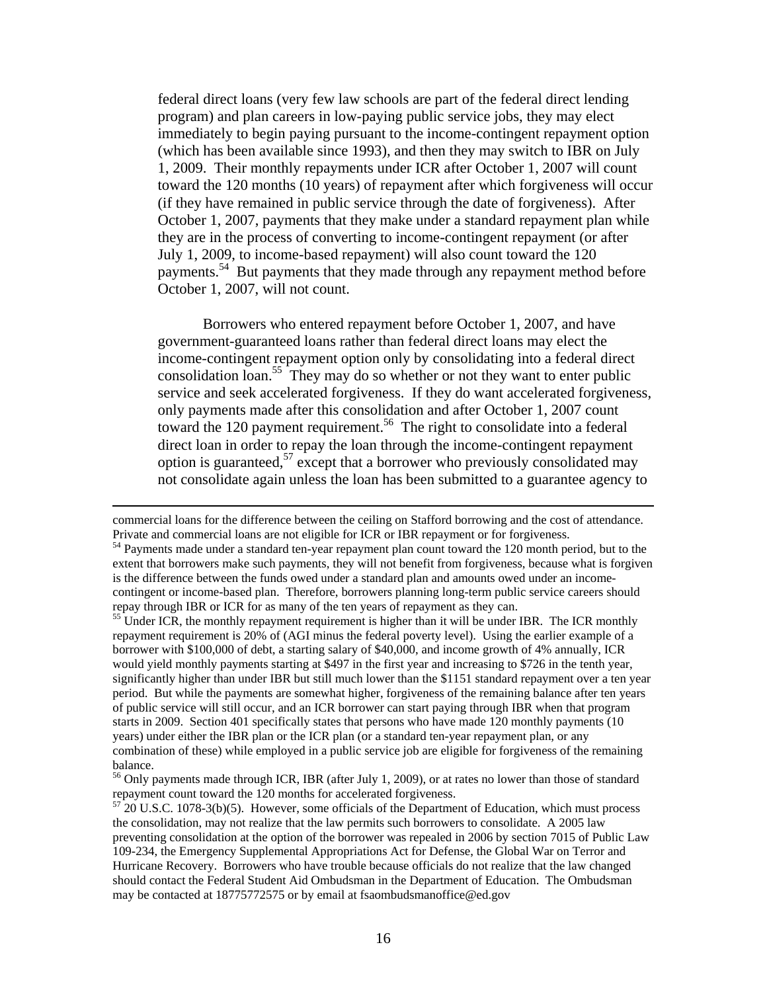federal direct loans (very few law schools are part of the federal direct lending program) and plan careers in low-paying public service jobs, they may elect immediately to begin paying pursuant to the income-contingent repayment option (which has been available since 1993), and then they may switch to IBR on July 1, 2009. Their monthly repayments under ICR after October 1, 2007 will count toward the 120 months (10 years) of repayment after which forgiveness will occur (if they have remained in public service through the date of forgiveness). After October 1, 2007, payments that they make under a standard repayment plan while they are in the process of converting to income-contingent repayment (or after July 1, 2009, to income-based repayment) will also count toward the 120 payments.54 But payments that they made through any repayment method before October 1, 2007, will not count.

Borrowers who entered repayment before October 1, 2007, and have government-guaranteed loans rather than federal direct loans may elect the income-contingent repayment option only by consolidating into a federal direct consolidation loan.<sup>55</sup> They may do so whether or not they want to enter public service and seek accelerated forgiveness. If they do want accelerated forgiveness, only payments made after this consolidation and after October 1, 2007 count toward the 120 payment requirement.<sup>56</sup> The right to consolidate into a federal direct loan in order to repay the loan through the income-contingent repayment option is guaranteed,  $57$  except that a borrower who previously consolidated may not consolidate again unless the loan has been submitted to a guarantee agency to

commercial loans for the difference between the ceiling on Stafford borrowing and the cost of attendance. Private and commercial loans are not eligible for ICR or IBR repayment or for forgiveness.<br><sup>54</sup> Payments made under a standard ten-year repayment plan count toward the 120 month period, but to the

extent that borrowers make such payments, they will not benefit from forgiveness, because what is forgiven is the difference between the funds owed under a standard plan and amounts owed under an incomecontingent or income-based plan. Therefore, borrowers planning long-term public service careers should repay through IBR or ICR for as many of the ten years of repayment as they can. 55 Under ICR, the monthly repayment requirement is higher than it will be under IBR. The ICR monthly

repayment requirement is 20% of (AGI minus the federal poverty level). Using the earlier example of a borrower with \$100,000 of debt, a starting salary of \$40,000, and income growth of 4% annually, ICR would yield monthly payments starting at \$497 in the first year and increasing to \$726 in the tenth year, significantly higher than under IBR but still much lower than the \$1151 standard repayment over a ten year period. But while the payments are somewhat higher, forgiveness of the remaining balance after ten years of public service will still occur, and an ICR borrower can start paying through IBR when that program starts in 2009. Section 401 specifically states that persons who have made 120 monthly payments (10 years) under either the IBR plan or the ICR plan (or a standard ten-year repayment plan, or any combination of these) while employed in a public service job are eligible for forgiveness of the remaining balance.

<sup>&</sup>lt;sup>56</sup> Only payments made through ICR, IBR (after July 1, 2009), or at rates no lower than those of standard repayment count toward the 120 months for accelerated forgiveness.<br><sup>57</sup> 20 U.S.C. 1078-3(b)(5). However, some officials of the Department of Education, which must process

the consolidation, may not realize that the law permits such borrowers to consolidate. A 2005 law preventing consolidation at the option of the borrower was repealed in 2006 by section 7015 of Public Law 109-234, the Emergency Supplemental Appropriations Act for Defense, the Global War on Terror and Hurricane Recovery. Borrowers who have trouble because officials do not realize that the law changed should contact the Federal Student Aid Ombudsman in the Department of Education. The Ombudsman may be contacted at 18775772575 or by email at fsaombudsmanoffice@ed.gov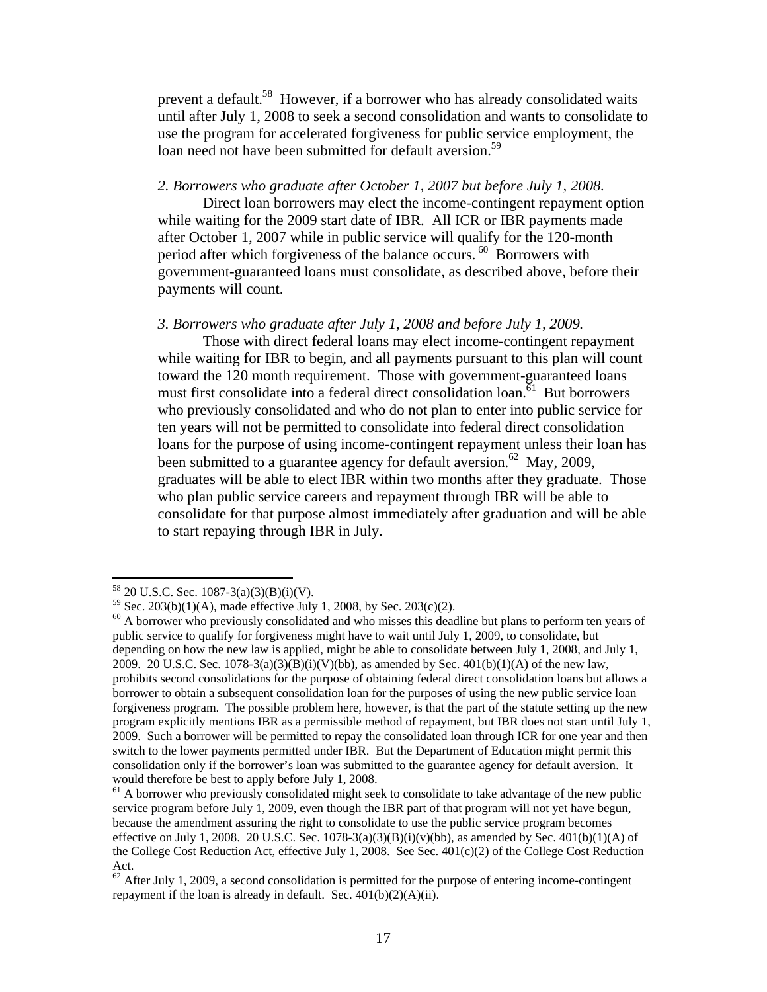prevent a default.<sup>58</sup> However, if a borrower who has already consolidated waits until after July 1, 2008 to seek a second consolidation and wants to consolidate to use the program for accelerated forgiveness for public service employment, the loan need not have been submitted for default aversion.<sup>59</sup>

### *2. Borrowers who graduate after October 1, 2007 but before July 1, 2008.*

 Direct loan borrowers may elect the income-contingent repayment option while waiting for the 2009 start date of IBR. All ICR or IBR payments made after October 1, 2007 while in public service will qualify for the 120-month period after which forgiveness of the balance occurs.<sup>60</sup> Borrowers with government-guaranteed loans must consolidate, as described above, before their payments will count.

### *3. Borrowers who graduate after July 1, 2008 and before July 1, 2009.*

Those with direct federal loans may elect income-contingent repayment while waiting for IBR to begin, and all payments pursuant to this plan will count toward the 120 month requirement. Those with government-guaranteed loans must first consolidate into a federal direct consolidation loan.<sup>61</sup> But borrowers who previously consolidated and who do not plan to enter into public service for ten years will not be permitted to consolidate into federal direct consolidation loans for the purpose of using income-contingent repayment unless their loan has been submitted to a guarantee agency for default aversion.<sup>62</sup> May, 2009, graduates will be able to elect IBR within two months after they graduate. Those who plan public service careers and repayment through IBR will be able to consolidate for that purpose almost immediately after graduation and will be able to start repaying through IBR in July.

 $58$  20 U.S.C. Sec. 1087-3(a)(3)(B)(i)(V).

 $59$  Sec. 203(b)(1)(A), made effective July 1, 2008, by Sec. 203(c)(2).

 $60$  A borrower who previously consolidated and who misses this deadline but plans to perform ten years of public service to qualify for forgiveness might have to wait until July 1, 2009, to consolidate, but depending on how the new law is applied, might be able to consolidate between July 1, 2008, and July 1, 2009. 20 U.S.C. Sec.  $1078-3(a)(3)(B)(i)(V)(bb)$ , as amended by Sec.  $401(b)(1)(A)$  of the new law, prohibits second consolidations for the purpose of obtaining federal direct consolidation loans but allows a borrower to obtain a subsequent consolidation loan for the purposes of using the new public service loan forgiveness program. The possible problem here, however, is that the part of the statute setting up the new program explicitly mentions IBR as a permissible method of repayment, but IBR does not start until July 1, 2009. Such a borrower will be permitted to repay the consolidated loan through ICR for one year and then switch to the lower payments permitted under IBR. But the Department of Education might permit this consolidation only if the borrower's loan was submitted to the guarantee agency for default aversion. It would therefore be best to apply before July 1, 2008.

 $<sup>61</sup>$  A borrower who previously consolidated might seek to consolidate to take advantage of the new public</sup> service program before July 1, 2009, even though the IBR part of that program will not yet have begun, because the amendment assuring the right to consolidate to use the public service program becomes effective on July 1, 2008. 20 U.S.C. Sec.  $1078-3(a)(3)(B)(i)(v)(bb)$ , as amended by Sec.  $401(b)(1)(A)$  of the College Cost Reduction Act, effective July 1, 2008. See Sec. 401(c)(2) of the College Cost Reduction Act.

 $62$  After July 1, 2009, a second consolidation is permitted for the purpose of entering income-contingent repayment if the loan is already in default. Sec. 401(b)(2)(A)(ii).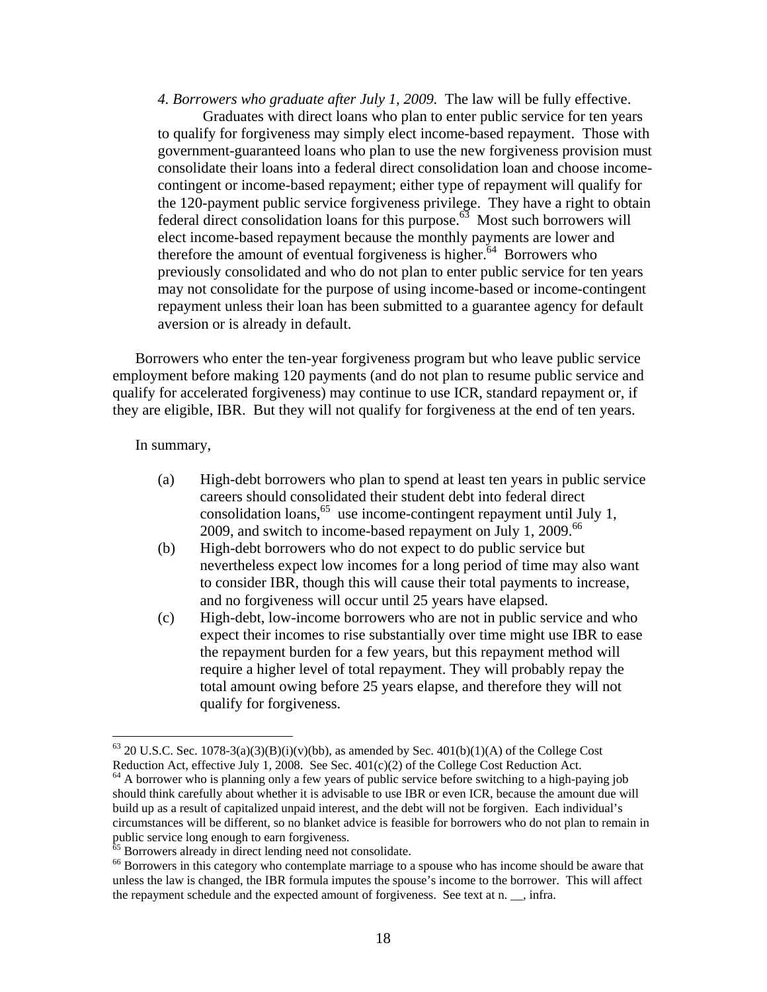*4. Borrowers who graduate after July 1, 2009.* The law will be fully effective. Graduates with direct loans who plan to enter public service for ten years to qualify for forgiveness may simply elect income-based repayment. Those with government-guaranteed loans who plan to use the new forgiveness provision must consolidate their loans into a federal direct consolidation loan and choose incomecontingent or income-based repayment; either type of repayment will qualify for the 120-payment public service forgiveness privilege. They have a right to obtain federal direct consolidation loans for this purpose.<sup>63</sup> Most such borrowers will elect income-based repayment because the monthly payments are lower and therefore the amount of eventual forgiveness is higher. $64$  Borrowers who previously consolidated and who do not plan to enter public service for ten years may not consolidate for the purpose of using income-based or income-contingent repayment unless their loan has been submitted to a guarantee agency for default aversion or is already in default.

Borrowers who enter the ten-year forgiveness program but who leave public service employment before making 120 payments (and do not plan to resume public service and qualify for accelerated forgiveness) may continue to use ICR, standard repayment or, if they are eligible, IBR. But they will not qualify for forgiveness at the end of ten years.

In summary,

- (a) High-debt borrowers who plan to spend at least ten years in public service careers should consolidated their student debt into federal direct consolidation loans,  $65$  use income-contingent repayment until July 1, 2009, and switch to income-based repayment on July 1, 2009. $^{66}$
- (b) High-debt borrowers who do not expect to do public service but nevertheless expect low incomes for a long period of time may also want to consider IBR, though this will cause their total payments to increase, and no forgiveness will occur until 25 years have elapsed.
- (c) High-debt, low-income borrowers who are not in public service and who expect their incomes to rise substantially over time might use IBR to ease the repayment burden for a few years, but this repayment method will require a higher level of total repayment. They will probably repay the total amount owing before 25 years elapse, and therefore they will not qualify for forgiveness.

<sup>&</sup>lt;sup>63</sup> 20 U.S.C. Sec. 1078-3(a)(3)(B)(i)(v)(bb), as amended by Sec. 401(b)(1)(A) of the College Cost Reduction Act.  $\blacksquare$  Reduction Act.

 $64$  A borrower who is planning only a few years of public service before switching to a high-paying job should think carefully about whether it is advisable to use IBR or even ICR, because the amount due will build up as a result of capitalized unpaid interest, and the debt will not be forgiven. Each individual's circumstances will be different, so no blanket advice is feasible for borrowers who do not plan to remain in public service long enough to earn forgiveness.<br><sup>65</sup> Borrowers already in direct lending need not consolidate.

<sup>&</sup>lt;sup>66</sup> Borrowers in this category who contemplate marriage to a spouse who has income should be aware that unless the law is changed, the IBR formula imputes the spouse's income to the borrower. This will affect the repayment schedule and the expected amount of forgiveness. See text at n. \_\_, infra.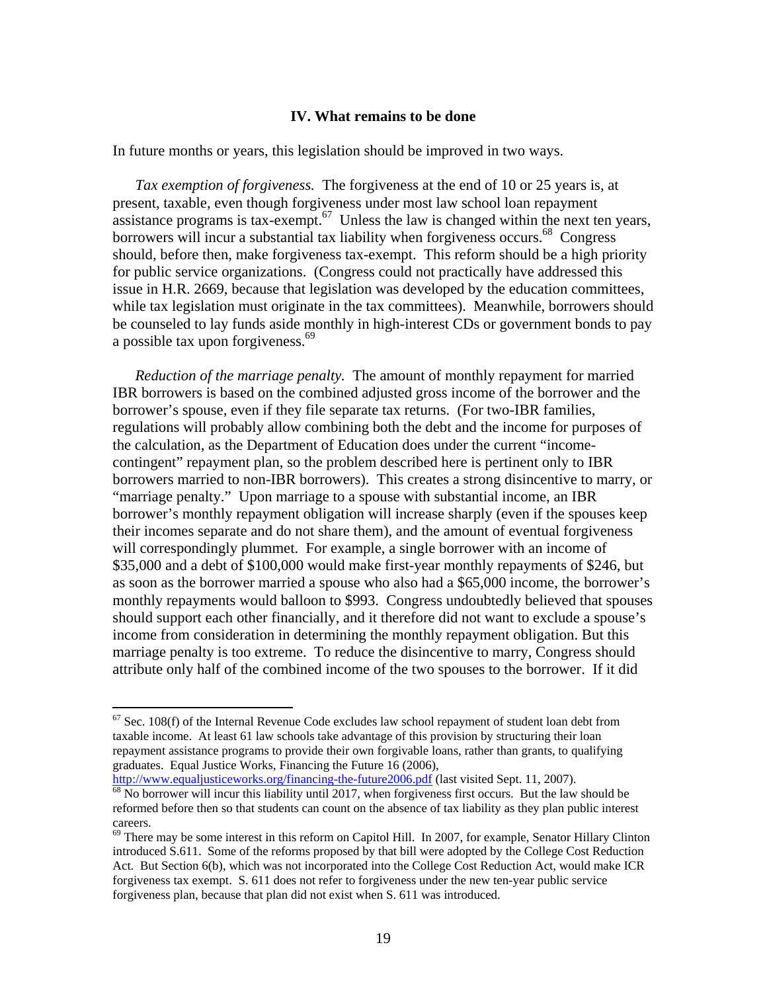### **IV. What remains to be done**

In future months or years, this legislation should be improved in two ways.

*Tax exemption of forgiveness.* The forgiveness at the end of 10 or 25 years is, at present, taxable, even though forgiveness under most law school loan repayment assistance programs is tax-exempt.<sup>67</sup> Unless the law is changed within the next ten years, borrowers will incur a substantial tax liability when forgiveness occurs.<sup>68</sup> Congress should, before then, make forgiveness tax-exempt. This reform should be a high priority for public service organizations. (Congress could not practically have addressed this issue in H.R. 2669, because that legislation was developed by the education committees, while tax legislation must originate in the tax committees). Meanwhile, borrowers should be counseled to lay funds aside monthly in high-interest CDs or government bonds to pay a possible tax upon forgiveness.<sup>69</sup>

*Reduction of the marriage penalty.* The amount of monthly repayment for married IBR borrowers is based on the combined adjusted gross income of the borrower and the borrower's spouse, even if they file separate tax returns. (For two-IBR families, regulations will probably allow combining both the debt and the income for purposes of the calculation, as the Department of Education does under the current "incomecontingent" repayment plan, so the problem described here is pertinent only to IBR borrowers married to non-IBR borrowers). This creates a strong disincentive to marry, or "marriage penalty." Upon marriage to a spouse with substantial income, an IBR borrower's monthly repayment obligation will increase sharply (even if the spouses keep their incomes separate and do not share them), and the amount of eventual forgiveness will correspondingly plummet. For example, a single borrower with an income of \$35,000 and a debt of \$100,000 would make first-year monthly repayments of \$246, but as soon as the borrower married a spouse who also had a \$65,000 income, the borrower's monthly repayments would balloon to \$993. Congress undoubtedly believed that spouses should support each other financially, and it therefore did not want to exclude a spouse's income from consideration in determining the monthly repayment obligation. But this marriage penalty is too extreme. To reduce the disincentive to marry, Congress should attribute only half of the combined income of the two spouses to the borrower. If it did

 $67$  Sec. 108(f) of the Internal Revenue Code excludes law school repayment of student loan debt from taxable income. At least 61 law schools take advantage of this provision by structuring their loan repayment assistance programs to provide their own forgivable loans, rather than grants, to qualifying graduates. Equal Justice Works, Financing the Future 16 (2006),<br>http://www.equaljusticeworks.org/financing-the-future2006.pdf (last visited Sept. 11, 2007).

 $\frac{68}{68}$  No borrower will incur this liability until 2017, when forgiveness first occurs. But the law should be reformed before then so that students can count on the absence of tax liability as they plan public interest careers.

<sup>&</sup>lt;sup>69</sup> There may be some interest in this reform on Capitol Hill. In 2007, for example, Senator Hillary Clinton introduced S.611. Some of the reforms proposed by that bill were adopted by the College Cost Reduction Act. But Section 6(b), which was not incorporated into the College Cost Reduction Act, would make ICR forgiveness tax exempt. S. 611 does not refer to forgiveness under the new ten-year public service forgiveness plan, because that plan did not exist when S. 611 was introduced.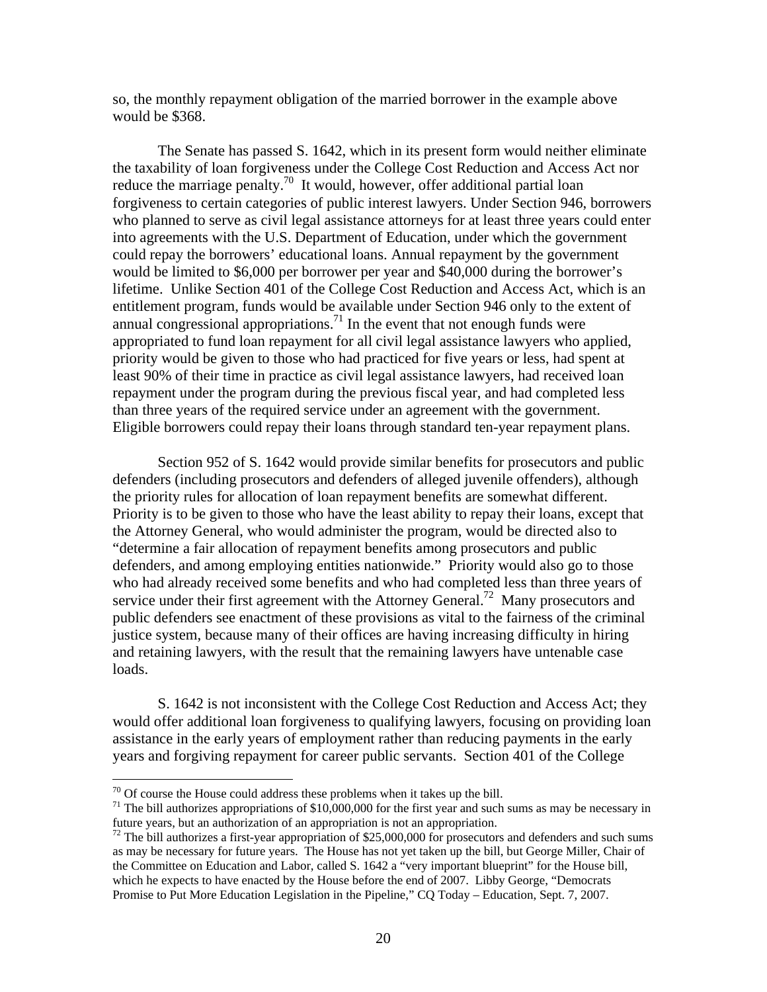so, the monthly repayment obligation of the married borrower in the example above would be \$368.

 The Senate has passed S. 1642, which in its present form would neither eliminate the taxability of loan forgiveness under the College Cost Reduction and Access Act nor reduce the marriage penalty.<sup>70</sup> It would, however, offer additional partial loan forgiveness to certain categories of public interest lawyers. Under Section 946, borrowers who planned to serve as civil legal assistance attorneys for at least three years could enter into agreements with the U.S. Department of Education, under which the government could repay the borrowers' educational loans. Annual repayment by the government would be limited to \$6,000 per borrower per year and \$40,000 during the borrower's lifetime. Unlike Section 401 of the College Cost Reduction and Access Act, which is an entitlement program, funds would be available under Section 946 only to the extent of annual congressional appropriations.<sup>71</sup> In the event that not enough funds were appropriated to fund loan repayment for all civil legal assistance lawyers who applied, priority would be given to those who had practiced for five years or less, had spent at least 90% of their time in practice as civil legal assistance lawyers, had received loan repayment under the program during the previous fiscal year, and had completed less than three years of the required service under an agreement with the government. Eligible borrowers could repay their loans through standard ten-year repayment plans.

 Section 952 of S. 1642 would provide similar benefits for prosecutors and public defenders (including prosecutors and defenders of alleged juvenile offenders), although the priority rules for allocation of loan repayment benefits are somewhat different. Priority is to be given to those who have the least ability to repay their loans, except that the Attorney General, who would administer the program, would be directed also to "determine a fair allocation of repayment benefits among prosecutors and public defenders, and among employing entities nationwide." Priority would also go to those who had already received some benefits and who had completed less than three years of service under their first agreement with the Attorney General.<sup>72</sup> Many prosecutors and public defenders see enactment of these provisions as vital to the fairness of the criminal justice system, because many of their offices are having increasing difficulty in hiring and retaining lawyers, with the result that the remaining lawyers have untenable case loads.

 S. 1642 is not inconsistent with the College Cost Reduction and Access Act; they would offer additional loan forgiveness to qualifying lawyers, focusing on providing loan assistance in the early years of employment rather than reducing payments in the early years and forgiving repayment for career public servants. Section 401 of the College

 $70$  Of course the House could address these problems when it takes up the bill.

 $71$  The bill authorizes appropriations of \$10,000,000 for the first year and such sums as may be necessary in future years, but an authorization of an appropriation is not an appropriation.

 $72$  The bill authorizes a first-year appropriation of \$25,000,000 for prosecutors and defenders and such sums as may be necessary for future years. The House has not yet taken up the bill, but George Miller, Chair of the Committee on Education and Labor, called S. 1642 a "very important blueprint" for the House bill, which he expects to have enacted by the House before the end of 2007. Libby George, "Democrats Promise to Put More Education Legislation in the Pipeline," CQ Today – Education, Sept. 7, 2007.